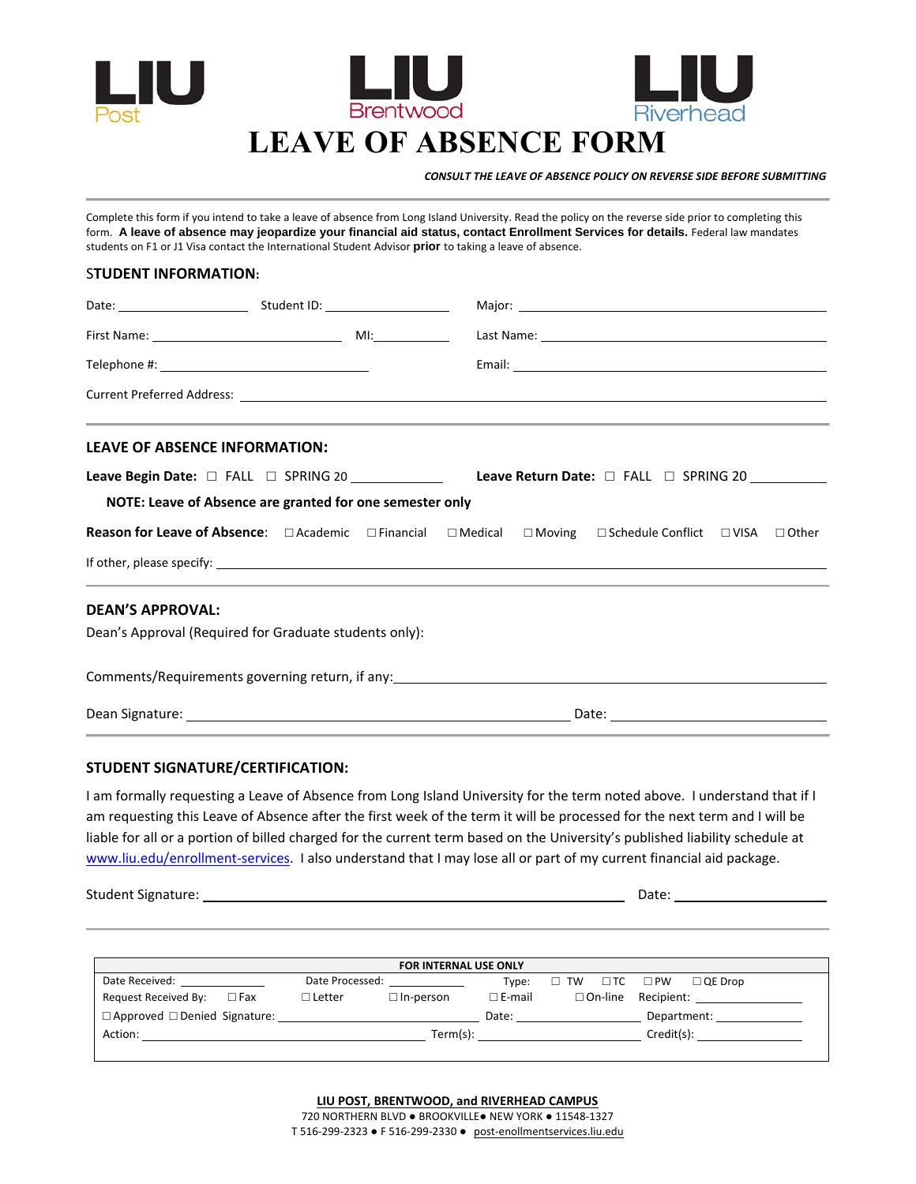

 *CONSULT THE LEAVE OF ABSENCE POLICY ON REVERSE SIDE BEFORE SUBMITTING*

Complete this form if you intend to take a leave of absence from Long Island University. Read the policy on the reverse side prior to completing this form. **A leave of absence may jeopardize your financial aid status, contact Enrollment Services for details.** Federal law mandates students on F1 or J1 Visa contact the International Student Advisor **prior** to taking a leave of absence.

## S**TUDENT INFORMATION:**

|                                                                                                                                                                                                                                |  |  |                                       |  | Major: National Communication of the Communication of the Communication of the Communication of the Communication of the Communication of the Communication of the Communication of the Communication of the Communication of |  |  |  |  |  |  |  |
|--------------------------------------------------------------------------------------------------------------------------------------------------------------------------------------------------------------------------------|--|--|---------------------------------------|--|-------------------------------------------------------------------------------------------------------------------------------------------------------------------------------------------------------------------------------|--|--|--|--|--|--|--|
|                                                                                                                                                                                                                                |  |  |                                       |  |                                                                                                                                                                                                                               |  |  |  |  |  |  |  |
|                                                                                                                                                                                                                                |  |  |                                       |  |                                                                                                                                                                                                                               |  |  |  |  |  |  |  |
|                                                                                                                                                                                                                                |  |  |                                       |  |                                                                                                                                                                                                                               |  |  |  |  |  |  |  |
| ,我们也不能会在这里,我们也不能会在这里,我们也不能会在这里,我们也不能会在这里,我们也不能会在这里,我们也不能会在这里,我们也不能会不能会不能会。""我们,我们<br><b>LEAVE OF ABSENCE INFORMATION:</b>                                                                                                      |  |  |                                       |  |                                                                                                                                                                                                                               |  |  |  |  |  |  |  |
| Leave Begin Date: □ FALL □ SPRING 20 _____________                                                                                                                                                                             |  |  | Leave Return Date: □ FALL □ SPRING 20 |  |                                                                                                                                                                                                                               |  |  |  |  |  |  |  |
| NOTE: Leave of Absence are granted for one semester only                                                                                                                                                                       |  |  |                                       |  |                                                                                                                                                                                                                               |  |  |  |  |  |  |  |
|                                                                                                                                                                                                                                |  |  |                                       |  |                                                                                                                                                                                                                               |  |  |  |  |  |  |  |
|                                                                                                                                                                                                                                |  |  |                                       |  | ,我们也不能会在这里,我们也不能会在这里,我们也不能会在这里,我们也不能会在这里,我们也不能会在这里,我们也不能会在这里,我们也不能会不能会不能会。""我们,我们                                                                                                                                             |  |  |  |  |  |  |  |
| <b>DEAN'S APPROVAL:</b>                                                                                                                                                                                                        |  |  |                                       |  |                                                                                                                                                                                                                               |  |  |  |  |  |  |  |
| Dean's Approval (Required for Graduate students only):                                                                                                                                                                         |  |  |                                       |  |                                                                                                                                                                                                                               |  |  |  |  |  |  |  |
| Comments/Requirements governing return, if any: example and all the control of the control of the control of the control of the control of the control of the control of the control of the control of the control of the cont |  |  |                                       |  |                                                                                                                                                                                                                               |  |  |  |  |  |  |  |
|                                                                                                                                                                                                                                |  |  |                                       |  |                                                                                                                                                                                                                               |  |  |  |  |  |  |  |

## **STUDENT SIGNATURE/CERTIFICATION:**

I am formally requesting a Leave of Absence from Long Island University for the term noted above. I understand that if I am requesting this Leave of Absence after the first week of the term it will be processed for the next term and I will be liable for all or a portion of billed charged for the current term based on the University's published liability schedule at www.liu.edu/enrollment‐services. I also understand that I may lose all or part of my current financial aid package.

Student Signature: Date:

| <b>FOR INTERNAL USE ONLY</b>                                                                                                                                                                                                   |               |                                   |                  |  |  |  |                                                                                                                                                                                                                                |  |  |  |  |
|--------------------------------------------------------------------------------------------------------------------------------------------------------------------------------------------------------------------------------|---------------|-----------------------------------|------------------|--|--|--|--------------------------------------------------------------------------------------------------------------------------------------------------------------------------------------------------------------------------------|--|--|--|--|
| Date Received: New York 1999                                                                                                                                                                                                   |               | Date Processed: National Assembly | Tvpe:            |  |  |  | $\Box$ TW $\Box$ TC $\Box$ PW $\Box$ QE Drop                                                                                                                                                                                   |  |  |  |  |
| Request Received By: $\square$ Fax                                                                                                                                                                                             | $\Box$ Letter | $\square$ In-person               | $\square$ E-mail |  |  |  | $\Box$ On-line Recipient:                                                                                                                                                                                                      |  |  |  |  |
|                                                                                                                                                                                                                                |               |                                   | Date:            |  |  |  | Department: _____________                                                                                                                                                                                                      |  |  |  |  |
| Action: the contract of the contract of the contract of the contract of the contract of the contract of the contract of the contract of the contract of the contract of the contract of the contract of the contract of the co |               | Term(s):                          |                  |  |  |  | Credit(s): the control of the control of the control of the control of the control of the control of the control of the control of the control of the control of the control of the control of the control of the control of t |  |  |  |  |